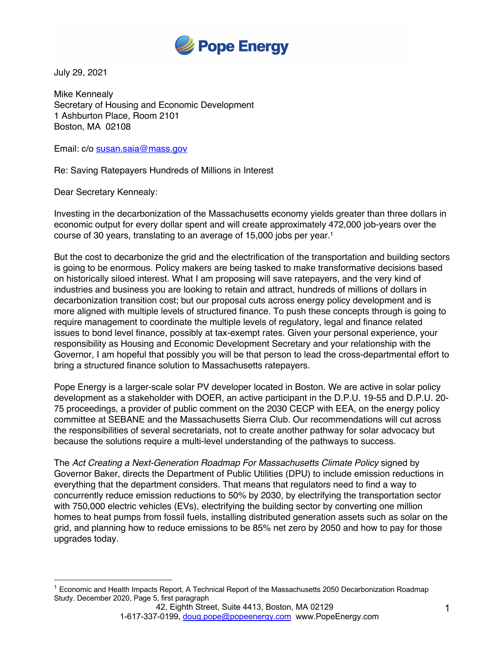

July 29, 2021

Mike Kennealy Secretary of Housing and Economic Development 1 Ashburton Place, Room 2101 Boston, MA 02108

Email: c/o susan.saia@mass.gov

Re: Saving Ratepayers Hundreds of Millions in Interest

Dear Secretary Kennealy:

Investing in the decarbonization of the Massachusetts economy yields greater than three dollars in economic output for every dollar spent and will create approximately 472,000 job-years over the course of 30 years, translating to an average of 15,000 jobs per year.1

But the cost to decarbonize the grid and the electrification of the transportation and building sectors is going to be enormous. Policy makers are being tasked to make transformative decisions based on historically siloed interest. What I am proposing will save ratepayers, and the very kind of industries and business you are looking to retain and attract, hundreds of millions of dollars in decarbonization transition cost; but our proposal cuts across energy policy development and is more aligned with multiple levels of structured finance. To push these concepts through is going to require management to coordinate the multiple levels of regulatory, legal and finance related issues to bond level finance, possibly at tax-exempt rates. Given your personal experience, your responsibility as Housing and Economic Development Secretary and your relationship with the Governor, I am hopeful that possibly you will be that person to lead the cross-departmental effort to bring a structured finance solution to Massachusetts ratepayers.

Pope Energy is a larger-scale solar PV developer located in Boston. We are active in solar policy development as a stakeholder with DOER, an active participant in the D.P.U. 19-55 and D.P.U. 20- 75 proceedings, a provider of public comment on the 2030 CECP with EEA, on the energy policy committee at SEBANE and the Massachusetts Sierra Club. Our recommendations will cut across the responsibilities of several secretariats, not to create another pathway for solar advocacy but because the solutions require a multi-level understanding of the pathways to success.

The *Act Creating a Next-Generation Roadmap For Massachusetts Climate Policy* signed by Governor Baker, directs the Department of Public Utilities (DPU) to include emission reductions in everything that the department considers. That means that regulators need to find a way to concurrently reduce emission reductions to 50% by 2030, by electrifying the transportation sector with 750,000 electric vehicles (EVs), electrifying the building sector by converting one million homes to heat pumps from fossil fuels, installing distributed generation assets such as solar on the grid, and planning how to reduce emissions to be 85% net zero by 2050 and how to pay for those upgrades today.

<sup>&</sup>lt;sup>1</sup> Economic and Health Impacts Report, A Technical Report of the Massachusetts 2050 Decarbonization Roadmap Study. December 2020, Page 5, first paragraph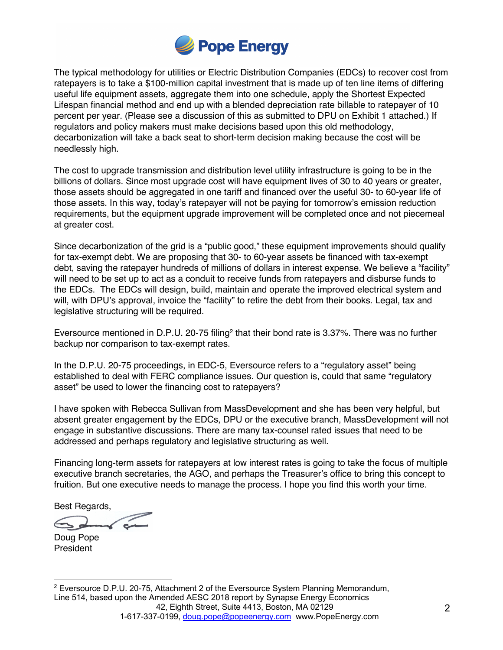

The typical methodology for utilities or Electric Distribution Companies (EDCs) to recover cost from ratepayers is to take a \$100-million capital investment that is made up of ten line items of differing useful life equipment assets, aggregate them into one schedule, apply the Shortest Expected Lifespan financial method and end up with a blended depreciation rate billable to ratepayer of 10 percent per year. (Please see a discussion of this as submitted to DPU on Exhibit 1 attached.) If regulators and policy makers must make decisions based upon this old methodology, decarbonization will take a back seat to short-term decision making because the cost will be needlessly high.

The cost to upgrade transmission and distribution level utility infrastructure is going to be in the billions of dollars. Since most upgrade cost will have equipment lives of 30 to 40 years or greater, those assets should be aggregated in one tariff and financed over the useful 30- to 60-year life of those assets. In this way, today's ratepayer will not be paying for tomorrow's emission reduction requirements, but the equipment upgrade improvement will be completed once and not piecemeal at greater cost.

Since decarbonization of the grid is a "public good," these equipment improvements should qualify for tax-exempt debt. We are proposing that 30- to 60-year assets be financed with tax-exempt debt, saving the ratepayer hundreds of millions of dollars in interest expense. We believe a "facility" will need to be set up to act as a conduit to receive funds from ratepayers and disburse funds to the EDCs. The EDCs will design, build, maintain and operate the improved electrical system and will, with DPU's approval, invoice the "facility" to retire the debt from their books. Legal, tax and legislative structuring will be required.

Eversource mentioned in D.P.U. 20-75 filing<sup>2</sup> that their bond rate is 3.37%. There was no further backup nor comparison to tax-exempt rates.

In the D.P.U. 20-75 proceedings, in EDC-5, Eversource refers to a "regulatory asset" being established to deal with FERC compliance issues. Our question is, could that same "regulatory asset" be used to lower the financing cost to ratepayers?

I have spoken with Rebecca Sullivan from MassDevelopment and she has been very helpful, but absent greater engagement by the EDCs, DPU or the executive branch, MassDevelopment will not engage in substantive discussions. There are many tax-counsel rated issues that need to be addressed and perhaps regulatory and legislative structuring as well.

Financing long-term assets for ratepayers at low interest rates is going to take the focus of multiple executive branch secretaries, the AGO, and perhaps the Treasurer's office to bring this concept to fruition. But one executive needs to manage the process. I hope you find this worth your time.

Best Regards,

Doug Pope **President** 

42, Eighth Street, Suite 4413, Boston, MA 02129 1-617-337-0199, doug.pope@popeenergy.com www.PopeEnergy.com  $2$  Eversource D.P.U. 20-75, Attachment 2 of the Eversource System Planning Memorandum, Line 514, based upon the Amended AESC 2018 report by Synapse Energy Economics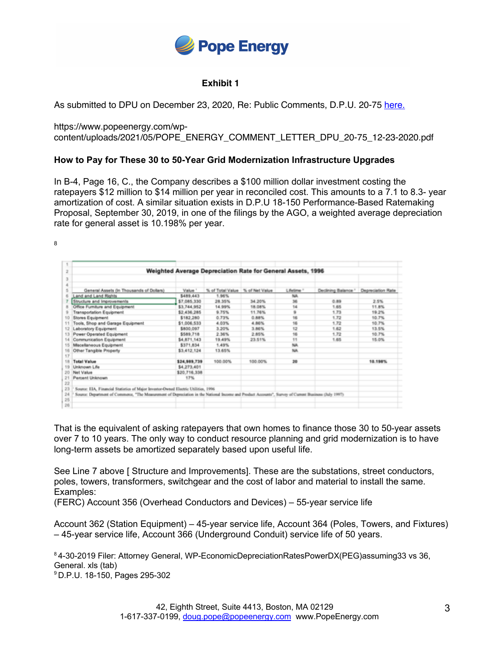

## **Exhibit 1**

As submitted to DPU on December 23, 2020, Re: Public Comments, D.P.U. 20-75 here.

https://www.popeenergy.com/wpcontent/uploads/2021/05/POPE\_ENERGY\_COMMENT\_LETTER\_DPU\_20-75\_12-23-2020.pdf

## **How to Pay for These 30 to 50-Year Grid Modernization Infrastructure Upgrades**

In B-4, Page 16, C., the Company describes a \$100 million dollar investment costing the ratepayers \$12 million to \$14 million per year in reconciled cost. This amounts to a 7.1 to 8.3- year amortization of cost. A similar situation exists in D.P.U 18-150 Performance-Based Ratemaking Proposal, September 30, 2019, in one of the filings by the AGO, a weighted average depreciation rate for general asset is 10.198% per year.

8

| Weighted Average Depreciation Rate for General Assets, 1996<br>2 |                                                                                                                                                       |              |                                 |         |            |                     |                   |
|------------------------------------------------------------------|-------------------------------------------------------------------------------------------------------------------------------------------------------|--------------|---------------------------------|---------|------------|---------------------|-------------------|
| 3                                                                |                                                                                                                                                       |              |                                 |         |            |                     |                   |
| a                                                                |                                                                                                                                                       |              |                                 |         |            |                     |                   |
| 5                                                                | General Assets (In Thousands of Dollars)                                                                                                              | Value 1      | % of Total Value % of Net Value |         | Lifetime 1 | Declining Balance 1 | Depreciation Rate |
| 6                                                                | Land and Land Rights                                                                                                                                  | \$489,443    | 1.96%                           |         | NA         |                     |                   |
|                                                                  | Structure and Improvements                                                                                                                            | \$7,085,330  | 28.35%                          | 34, 20% | 36         | 0.89                | 2.5%              |
| 8                                                                | Office Furniture and Equipment                                                                                                                        | \$3,744,952  | 14.99%                          | 18.08%  | 14         | 1.65                | 11.8%             |
| $\Omega$                                                         | <b>Transportation Equipment</b>                                                                                                                       | \$2,436,285  | 9.75%                           | 11.76%  | 9          | 1.73                | 19.2%             |
| 10                                                               | Stores Equipment                                                                                                                                      | \$182,280    | 0.73%                           | 0.88%   | 16         | 1.72                | 10.7%             |
| 11                                                               | Tools, Shop and Garage Equipment.                                                                                                                     | \$1,006,533  | 4.03%                           | 4.86%   | 16         | 1.72                | 10.7%             |
| 12                                                               | Laboratory Equipment                                                                                                                                  | \$800,097    | 3.20%                           | 3.86%   | 12         | 1.62                | 13.5%             |
| 13                                                               | Power Operated Equipment                                                                                                                              | \$589,718    | 2.36%                           | 2.85%   | 16         | 1.72                | 10.7%             |
| 14                                                               | Communication Equipment                                                                                                                               | \$4,871,143  | 19.49%                          | 23.51%  | 11         | 1.65                | 15.0%             |
| 15                                                               | Miscellaneous Equipment                                                                                                                               | \$371,834    | 1,49%                           |         | NA         |                     |                   |
| 16                                                               | Other Tangible Property                                                                                                                               | \$3,412,124  | 13.65%                          |         | NA         |                     |                   |
| 17                                                               |                                                                                                                                                       |              |                                 |         |            |                     |                   |
| 18                                                               | <b>Total Value</b>                                                                                                                                    | \$24,989,739 | 100.00%                         | 100.00% | 20         |                     | 10.198%           |
| 19                                                               | Unknown Life                                                                                                                                          | \$4,273,401  |                                 |         |            |                     |                   |
| 20                                                               | Net Value                                                                                                                                             | \$20,716,338 |                                 |         |            |                     |                   |
| 21                                                               | Parcent Unknown                                                                                                                                       | 17%          |                                 |         |            |                     |                   |
| 22                                                               |                                                                                                                                                       |              |                                 |         |            |                     |                   |
| 23                                                               | Source: EIA, Financial Statistics of Major Investor-Owned Electric Utilities, 1996                                                                    |              |                                 |         |            |                     |                   |
| 24                                                               | Source: Department of Commerce, "The Measurement of Deprociation in the National Income and Product Accounts", Survey of Current Business (July 1997) |              |                                 |         |            |                     |                   |
| 25                                                               |                                                                                                                                                       |              |                                 |         |            |                     |                   |
| 26                                                               |                                                                                                                                                       |              |                                 |         |            |                     |                   |

That is the equivalent of asking ratepayers that own homes to finance those 30 to 50-year assets over 7 to 10 years. The only way to conduct resource planning and grid modernization is to have long-term assets be amortized separately based upon useful life.

See Line 7 above [ Structure and Improvements]. These are the substations, street conductors, poles, towers, transformers, switchgear and the cost of labor and material to install the same. Examples:

(FERC) Account 356 (Overhead Conductors and Devices) – 55-year service life

Account 362 (Station Equipment) – 45-year service life, Account 364 (Poles, Towers, and Fixtures) – 45-year service life, Account 366 (Underground Conduit) service life of 50 years.

<sup>8</sup> 4-30-2019 Filer: Attorney General, WP-EconomicDepreciationRatesPowerDX(PEG)assuming33 vs 36, General. xls (tab) 9 D.P.U. 18-150, Pages 295-302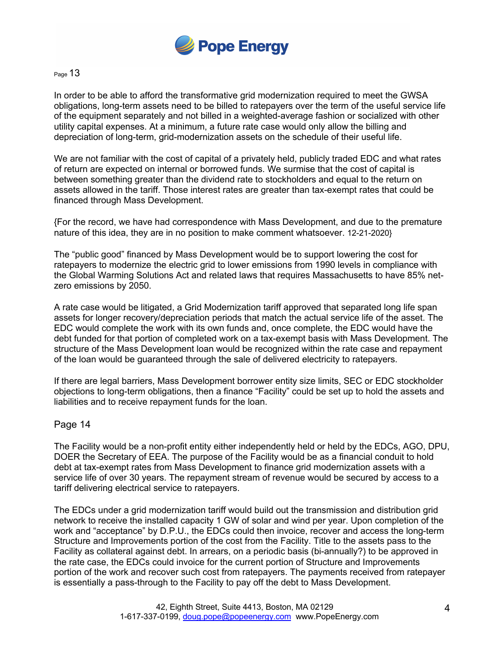

## Page 13

In order to be able to afford the transformative grid modernization required to meet the GWSA obligations, long-term assets need to be billed to ratepayers over the term of the useful service life of the equipment separately and not billed in a weighted-average fashion or socialized with other utility capital expenses. At a minimum, a future rate case would only allow the billing and depreciation of long-term, grid-modernization assets on the schedule of their useful life.

We are not familiar with the cost of capital of a privately held, publicly traded EDC and what rates of return are expected on internal or borrowed funds. We surmise that the cost of capital is between something greater than the dividend rate to stockholders and equal to the return on assets allowed in the tariff. Those interest rates are greater than tax-exempt rates that could be financed through Mass Development.

{For the record, we have had correspondence with Mass Development, and due to the premature nature of this idea, they are in no position to make comment whatsoever. 12-21-2020}

The "public good" financed by Mass Development would be to support lowering the cost for ratepayers to modernize the electric grid to lower emissions from 1990 levels in compliance with the Global Warming Solutions Act and related laws that requires Massachusetts to have 85% netzero emissions by 2050.

A rate case would be litigated, a Grid Modernization tariff approved that separated long life span assets for longer recovery/depreciation periods that match the actual service life of the asset. The EDC would complete the work with its own funds and, once complete, the EDC would have the debt funded for that portion of completed work on a tax-exempt basis with Mass Development. The structure of the Mass Development loan would be recognized within the rate case and repayment of the loan would be guaranteed through the sale of delivered electricity to ratepayers.

If there are legal barriers, Mass Development borrower entity size limits, SEC or EDC stockholder objections to long-term obligations, then a finance "Facility" could be set up to hold the assets and liabilities and to receive repayment funds for the loan.

## Page 14

The Facility would be a non-profit entity either independently held or held by the EDCs, AGO, DPU, DOER the Secretary of EEA. The purpose of the Facility would be as a financial conduit to hold debt at tax-exempt rates from Mass Development to finance grid modernization assets with a service life of over 30 years. The repayment stream of revenue would be secured by access to a tariff delivering electrical service to ratepayers.

The EDCs under a grid modernization tariff would build out the transmission and distribution grid network to receive the installed capacity 1 GW of solar and wind per year. Upon completion of the work and "acceptance" by D.P.U., the EDCs could then invoice, recover and access the long-term Structure and Improvements portion of the cost from the Facility. Title to the assets pass to the Facility as collateral against debt. In arrears, on a periodic basis (bi-annually?) to be approved in the rate case, the EDCs could invoice for the current portion of Structure and Improvements portion of the work and recover such cost from ratepayers. The payments received from ratepayer is essentially a pass-through to the Facility to pay off the debt to Mass Development.